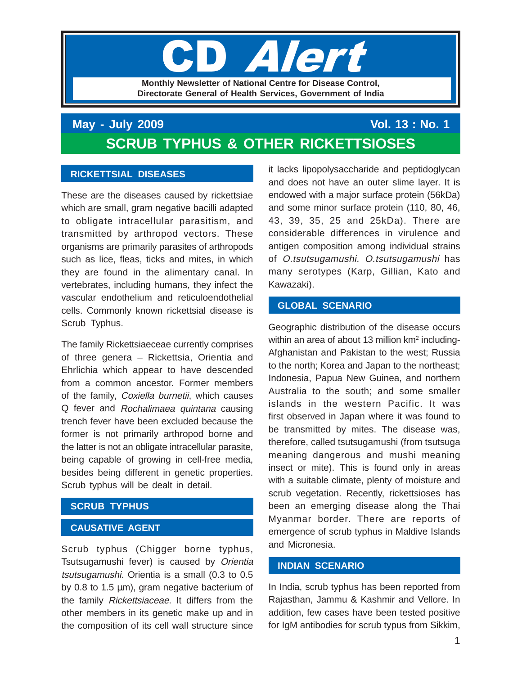## Aler **Monthly Newsletter of National Centre for Disease Control, Directorate General of Health Services, Government of India**

# **May - July 2009 Vol. 13 : No. 1 SCRUB TYPHUS & OTHER RICKETTSIOSES**

## **RICKETTSIAL DISEASES**

These are the diseases caused by rickettsiae which are small, gram negative bacilli adapted to obligate intracellular parasitism, and transmitted by arthropod vectors. These organisms are primarily parasites of arthropods such as lice, fleas, ticks and mites, in which they are found in the alimentary canal. In vertebrates, including humans, they infect the vascular endothelium and reticuloendothelial cells. Commonly known rickettsial disease is Scrub Typhus.

The family Rickettsiaeceae currently comprises of three genera – Rickettsia, Orientia and Ehrlichia which appear to have descended from a common ancestor. Former members of the family, Coxiella burnetii, which causes Q fever and Rochalimaea quintana causing trench fever have been excluded because the former is not primarily arthropod borne and the latter is not an obligate intracellular parasite, being capable of growing in cell-free media, besides being different in genetic properties. Scrub typhus will be dealt in detail.

## **SCRUB TYPHUS**

#### **CAUSATIVE AGENT**

Scrub typhus (Chigger borne typhus, Tsutsugamushi fever) is caused by Orientia tsutsugamushi. Orientia is a small (0.3 to 0.5 by 0.8 to 1.5 µm), gram negative bacterium of the family Rickettsiaceae. It differs from the other members in its genetic make up and in the composition of its cell wall structure since

it lacks lipopolysaccharide and peptidoglycan and does not have an outer slime layer. It is endowed with a major surface protein (56kDa) and some minor surface protein (110, 80, 46, 43, 39, 35, 25 and 25kDa). There are considerable differences in virulence and antigen composition among individual strains of O.tsutsugamushi. O.tsutsugamushi has many serotypes (Karp, Gillian, Kato and Kawazaki).

## **GLOBAL SCENARIO**

Geographic distribution of the disease occurs within an area of about 13 million km<sup>2</sup> including-Afghanistan and Pakistan to the west: Russia to the north; Korea and Japan to the northeast; Indonesia, Papua New Guinea, and northern Australia to the south; and some smaller islands in the western Pacific. It was first observed in Japan where it was found to be transmitted by mites. The disease was, therefore, called tsutsugamushi (from tsutsuga meaning dangerous and mushi meaning insect or mite). This is found only in areas with a suitable climate, plenty of moisture and scrub vegetation. Recently, rickettsioses has been an emerging disease along the Thai Myanmar border. There are reports of emergence of scrub typhus in Maldive Islands and Micronesia.

#### **INDIAN SCENARIO**

In India, scrub typhus has been reported from Rajasthan, Jammu & Kashmir and Vellore. In addition, few cases have been tested positive for IgM antibodies for scrub typus from Sikkim,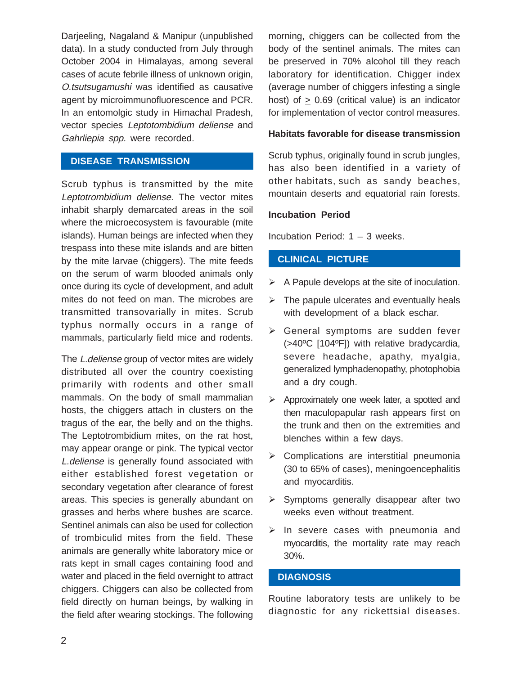Darjeeling, Nagaland & Manipur (unpublished data). In a study conducted from July through October 2004 in Himalayas, among several cases of acute febrile illness of unknown origin, O.tsutsugamushi was identified as causative agent by microimmunofluorescence and PCR. In an entomolgic study in Himachal Pradesh, vector species Leptotombidium deliense and Gahrliepia spp. were recorded.

## **DISEASE TRANSMISSION**

Scrub typhus is transmitted by the mite Leptotrombidium deliense. The vector mites inhabit sharply demarcated areas in the soil where the microecosystem is favourable (mite islands). Human beings are infected when they trespass into these mite islands and are bitten by the mite larvae (chiggers). The mite feeds on the serum of warm blooded animals only once during its cycle of development, and adult mites do not feed on man. The microbes are transmitted transovarially in mites. Scrub typhus normally occurs in a range of mammals, particularly field mice and rodents.

The L.deliense group of vector mites are widely distributed all over the country coexisting primarily with rodents and other small mammals. On the body of small mammalian hosts, the chiggers attach in clusters on the tragus of the ear, the belly and on the thighs. The Leptotrombidium mites, on the rat host, may appear orange or pink. The typical vector L.deliense is generally found associated with either established forest vegetation or secondary vegetation after clearance of forest areas. This species is generally abundant on grasses and herbs where bushes are scarce. Sentinel animals can also be used for collection of trombiculid mites from the field. These animals are generally white laboratory mice or rats kept in small cages containing food and water and placed in the field overnight to attract chiggers. Chiggers can also be collected from field directly on human beings, by walking in the field after wearing stockings. The following

morning, chiggers can be collected from the body of the sentinel animals. The mites can be preserved in 70% alcohol till they reach laboratory for identification. Chigger index (average number of chiggers infesting a single host) of > 0.69 (critical value) is an indicator for implementation of vector control measures.

#### **Habitats favorable for disease transmission**

Scrub typhus, originally found in scrub jungles, has also been identified in a variety of other habitats, such as sandy beaches, mountain deserts and equatorial rain forests.

#### **Incubation Period**

Incubation Period:  $1 - 3$  weeks.

## **CLINICAL PICTURE**

- $\triangleright$  A Papule develops at the site of inoculation.
- $\triangleright$  The papule ulcerates and eventually heals with development of a black eschar.
- General symptoms are sudden fever (>40ºC [104ºF]) with relative bradycardia, severe headache, apathy, myalgia, generalized lymphadenopathy, photophobia and a dry cough.
- $\triangleright$  Approximately one week later, a spotted and then maculopapular rash appears first on the trunk and then on the extremities and blenches within a few days.
- $\triangleright$  Complications are interstitial pneumonia (30 to 65% of cases), meningoencephalitis and myocarditis.
- $\triangleright$  Symptoms generally disappear after two weeks even without treatment.
- $\triangleright$  In severe cases with pneumonia and myocarditis, the mortality rate may reach 30%.

## **DIAGNOSIS**

Routine laboratory tests are unlikely to be diagnostic for any rickettsial diseases.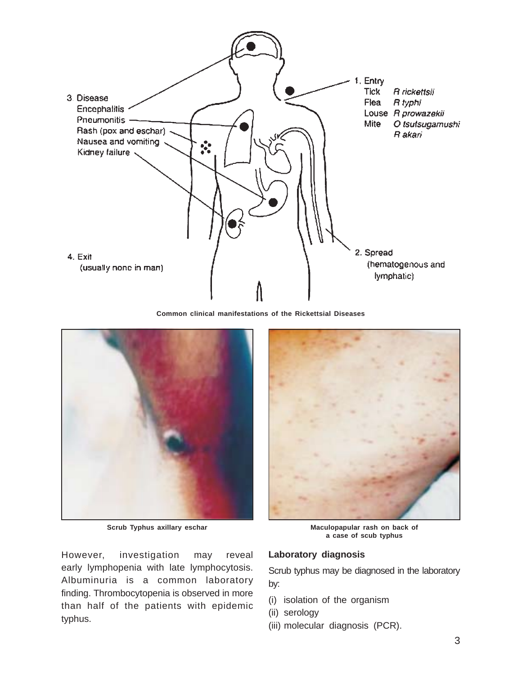

**Common clinical manifestations of the Rickettsial Diseases**



Scrub Typhus axillary eschar **Maculopapular rash on back of** 



**a case of scub typhus**

However, investigation may reveal early lymphopenia with late lymphocytosis. Albuminuria is a common laboratory finding. Thrombocytopenia is observed in more than half of the patients with epidemic typhus.

#### **Laboratory diagnosis**

Scrub typhus may be diagnosed in the laboratory by:

- (i) isolation of the organism
- (ii) serology
- (iii) molecular diagnosis (PCR).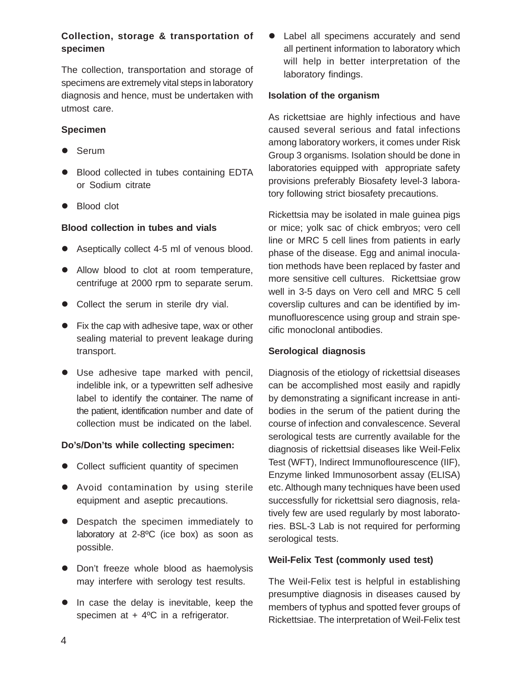## **Collection, storage & transportation of specimen**

The collection, transportation and storage of specimens are extremely vital steps in laboratory diagnosis and hence, must be undertaken with utmost care.

## **Specimen**

- Serum
- Blood collected in tubes containing EDTA or Sodium citrate
- Blood clot

## **Blood collection in tubes and vials**

- Aseptically collect 4-5 ml of venous blood.
- Allow blood to clot at room temperature, centrifuge at 2000 rpm to separate serum.
- Collect the serum in sterile dry vial.
- Fix the cap with adhesive tape, wax or other sealing material to prevent leakage during transport.
- **.** Use adhesive tape marked with pencil, indelible ink, or a typewritten self adhesive label to identify the container. The name of the patient, identification number and date of collection must be indicated on the label.

#### **Do's/Don'ts while collecting specimen:**

- Collect sufficient quantity of specimen
- $\bullet$  Avoid contamination by using sterile equipment and aseptic precautions.
- **•** Despatch the specimen immediately to laboratory at 2-8ºC (ice box) as soon as possible.
- **•** Don't freeze whole blood as haemolysis may interfere with serology test results.
- $\bullet$  In case the delay is inevitable, keep the specimen at  $+4$ <sup>o</sup>C in a refrigerator.

 $\bullet$  Label all specimens accurately and send all pertinent information to laboratory which will help in better interpretation of the laboratory findings.

## **Isolation of the organism**

As rickettsiae are highly infectious and have caused several serious and fatal infections among laboratory workers, it comes under Risk Group 3 organisms. Isolation should be done in laboratories equipped with appropriate safety provisions preferably Biosafety level-3 laboratory following strict biosafety precautions.

Rickettsia may be isolated in male guinea pigs or mice; yolk sac of chick embryos; vero cell line or MRC 5 cell lines from patients in early phase of the disease. Egg and animal inoculation methods have been replaced by faster and more sensitive cell cultures. Rickettsiae grow well in 3-5 days on Vero cell and MRC 5 cell coverslip cultures and can be identified by immunofluorescence using group and strain specific monoclonal antibodies.

## **Serological diagnosis**

Diagnosis of the etiology of rickettsial diseases can be accomplished most easily and rapidly by demonstrating a significant increase in antibodies in the serum of the patient during the course of infection and convalescence. Several serological tests are currently available for the diagnosis of rickettsial diseases like Weil-Felix Test (WFT), Indirect Immunoflourescence (IIF), Enzyme linked Immunosorbent assay (ELISA) etc. Although many techniques have been used successfully for rickettsial sero diagnosis, relatively few are used regularly by most laboratories. BSL-3 Lab is not required for performing serological tests.

## **Weil-Felix Test (commonly used test)**

The Weil-Felix test is helpful in establishing presumptive diagnosis in diseases caused by members of typhus and spotted fever groups of Rickettsiae. The interpretation of Weil-Felix test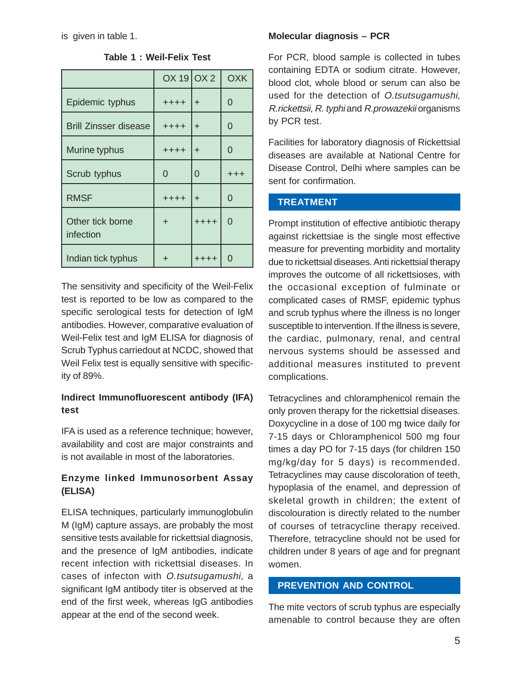is given in table 1.

|                               | $OX$ 19 $OX$ 2 |           | <b>OXK</b> |
|-------------------------------|----------------|-----------|------------|
| Epidemic typhus               | $+ + + +$      | $\ddot{}$ | 0          |
| <b>Brill Zinsser disease</b>  | $+++++$        | $\div$    | 0          |
| Murine typhus                 | ++++           | $\div$    | 0          |
| Scrub typhus                  | 0              | $\Omega$  | $^{+++}$   |
| <b>RMSF</b>                   | $+ + + +$      | ÷         | O          |
| Other tick borne<br>infection | $\ddot{}$      | $++++$    | 0          |
| Indian tick typhus            | ٠              | ++++      |            |

**Table 1 : Weil-Felix Test**

The sensitivity and specificity of the Weil-Felix test is reported to be low as compared to the specific serological tests for detection of IgM antibodies. However, comparative evaluation of Weil-Felix test and IgM ELISA for diagnosis of Scrub Typhus carriedout at NCDC, showed that Weil Felix test is equally sensitive with specificity of 89%.

## **Indirect Immunofluorescent antibody (IFA) test**

IFA is used as a reference technique; however, availability and cost are major constraints and is not available in most of the laboratories.

## **Enzyme linked Immunosorbent Assay (ELISA)**

ELISA techniques, particularly immunoglobulin M (IgM) capture assays, are probably the most sensitive tests available for rickettsial diagnosis, and the presence of IgM antibodies, indicate recent infection with rickettsial diseases. In cases of infecton with O.tsutsugamushi, a significant IgM antibody titer is observed at the end of the first week, whereas IgG antibodies appear at the end of the second week.

## **Molecular diagnosis – PCR**

For PCR, blood sample is collected in tubes containing EDTA or sodium citrate. However, blood clot, whole blood or serum can also be used for the detection of O.tsutsugamushi, R.rickettsii, R. typhi and R.prowazekii organisms by PCR test.

Facilities for laboratory diagnosis of Rickettsial diseases are available at National Centre for Disease Control, Delhi where samples can be sent for confirmation.

## **TREATMENT**

Prompt institution of effective antibiotic therapy against rickettsiae is the single most effective measure for preventing morbidity and mortality due to rickettsial diseases. Anti rickettsial therapy improves the outcome of all rickettsioses, with the occasional exception of fulminate or complicated cases of RMSF, epidemic typhus and scrub typhus where the illness is no longer susceptible to intervention. If the illness is severe, the cardiac, pulmonary, renal, and central nervous systems should be assessed and additional measures instituted to prevent complications.

Tetracyclines and chloramphenicol remain the only proven therapy for the rickettsial diseases. Doxycycline in a dose of 100 mg twice daily for 7-15 days or Chloramphenicol 500 mg four times a day PO for 7-15 days (for children 150 mg/kg/day for 5 days) is recommended. Tetracyclines may cause discoloration of teeth, hypoplasia of the enamel, and depression of skeletal growth in children; the extent of discolouration is directly related to the number of courses of tetracycline therapy received. Therefore, tetracycline should not be used for children under 8 years of age and for pregnant women.

#### **PREVENTION AND CONTROL**

The mite vectors of scrub typhus are especially amenable to control because they are often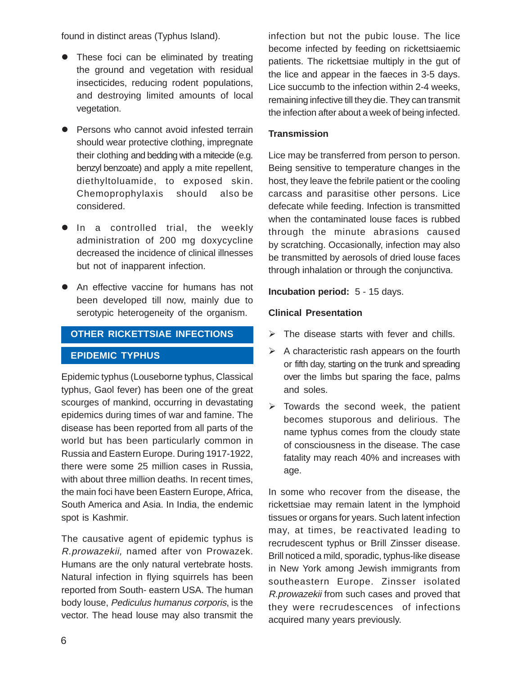found in distinct areas (Typhus Island).

- **•** These foci can be eliminated by treating the ground and vegetation with residual insecticides, reducing rodent populations, and destroying limited amounts of local vegetation.
- **•** Persons who cannot avoid infested terrain should wear protective clothing, impregnate their clothing and bedding with a mitecide (e.g. benzyl benzoate) and apply a mite repellent, diethyltoluamide, to exposed skin. Chemoprophylaxis should also be considered.
- $\bullet$  In a controlled trial, the weekly administration of 200 mg doxycycline decreased the incidence of clinical illnesses but not of inapparent infection.
- An effective vaccine for humans has not been developed till now, mainly due to serotypic heterogeneity of the organism.

## **OTHER RICKETTSIAE INFECTIONS**

## **EPIDEMIC TYPHUS**

Epidemic typhus (Louseborne typhus, Classical typhus, Gaol fever) has been one of the great scourges of mankind, occurring in devastating epidemics during times of war and famine. The disease has been reported from all parts of the world but has been particularly common in Russia and Eastern Europe. During 1917-1922, there were some 25 million cases in Russia, with about three million deaths. In recent times, the main foci have been Eastern Europe, Africa, South America and Asia. In India, the endemic spot is Kashmir.

The causative agent of epidemic typhus is R.prowazekii, named after von Prowazek. Humans are the only natural vertebrate hosts. Natural infection in flying squirrels has been reported from South- eastern USA. The human body louse, Pediculus humanus corporis, is the vector. The head louse may also transmit the infection but not the pubic louse. The lice become infected by feeding on rickettsiaemic patients. The rickettsiae multiply in the gut of the lice and appear in the faeces in 3-5 days. Lice succumb to the infection within 2-4 weeks, remaining infective till they die. They can transmit the infection after about a week of being infected.

## **Transmission**

Lice may be transferred from person to person. Being sensitive to temperature changes in the host, they leave the febrile patient or the cooling carcass and parasitise other persons. Lice defecate while feeding. Infection is transmitted when the contaminated louse faces is rubbed through the minute abrasions caused by scratching. Occasionally, infection may also be transmitted by aerosols of dried louse faces through inhalation or through the conjunctiva.

#### **Incubation period:** 5 - 15 days.

#### **Clinical Presentation**

- $\triangleright$  The disease starts with fever and chills.
- $\triangleright$  A characteristic rash appears on the fourth or fifth day, starting on the trunk and spreading over the limbs but sparing the face, palms and soles.
- $\triangleright$  Towards the second week, the patient becomes stuporous and delirious. The name typhus comes from the cloudy state of consciousness in the disease. The case fatality may reach 40% and increases with age.

In some who recover from the disease, the rickettsiae may remain latent in the lymphoid tissues or organs for years. Such latent infection may, at times, be reactivated leading to recrudescent typhus or Brill Zinsser disease. Brill noticed a mild, sporadic, typhus-like disease in New York among Jewish immigrants from southeastern Europe. Zinsser isolated R.prowazekii from such cases and proved that they were recrudescences of infections acquired many years previously.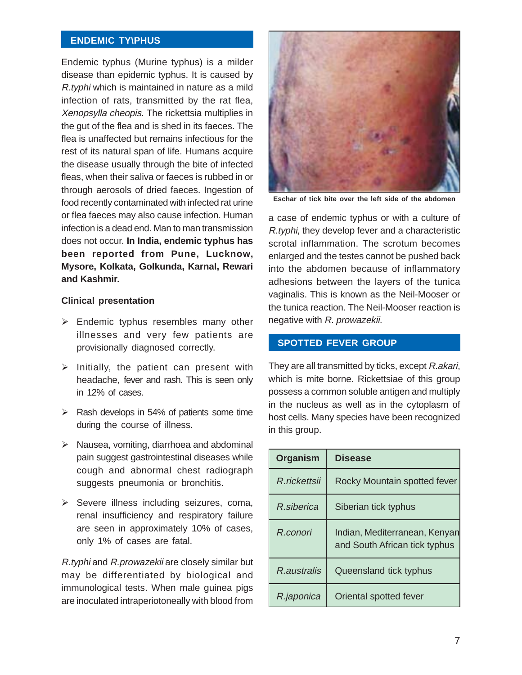#### **ENDEMIC TY\PHUS**

Endemic typhus (Murine typhus) is a milder disease than epidemic typhus. It is caused by R.typhi which is maintained in nature as a mild infection of rats, transmitted by the rat flea, Xenopsylla cheopis. The rickettsia multiplies in the gut of the flea and is shed in its faeces. The flea is unaffected but remains infectious for the rest of its natural span of life. Humans acquire the disease usually through the bite of infected fleas, when their saliva or faeces is rubbed in or through aerosols of dried faeces. Ingestion of food recently contaminated with infected rat urine or flea faeces may also cause infection. Human infection is a dead end. Man to man transmission does not occur. **In India, endemic typhus has been reported from Pune, Lucknow, Mysore, Kolkata, Golkunda, Karnal, Rewari and Kashmir.**

#### **Clinical presentation**

- $\triangleright$  Endemic typhus resembles many other illnesses and very few patients are provisionally diagnosed correctly.
- $\triangleright$  Initially, the patient can present with headache, fever and rash. This is seen only in 12% of cases.
- $\triangleright$  Rash develops in 54% of patients some time during the course of illness.
- $\triangleright$  Nausea, vomiting, diarrhoea and abdominal pain suggest gastrointestinal diseases while cough and abnormal chest radiograph suggests pneumonia or bronchitis.
- $\triangleright$  Severe illness including seizures, coma, renal insufficiency and respiratory failure are seen in approximately 10% of cases, only 1% of cases are fatal.

R.typhi and R.prowazekii are closely similar but may be differentiated by biological and immunological tests. When male guinea pigs are inoculated intraperiotoneally with blood from



**Eschar of tick bite over the left side of the abdomen**

a case of endemic typhus or with a culture of R.typhi, they develop fever and a characteristic scrotal inflammation. The scrotum becomes enlarged and the testes cannot be pushed back into the abdomen because of inflammatory adhesions between the layers of the tunica vaginalis. This is known as the Neil-Mooser or the tunica reaction. The Neil-Mooser reaction is negative with R. prowazekii.

#### **SPOTTED FEVER GROUP**

They are all transmitted by ticks, except R.akari, which is mite borne. Rickettsiae of this group possess a common soluble antigen and multiply in the nucleus as well as in the cytoplasm of host cells. Many species have been recognized in this group.

| Organism     | <b>Disease</b>                                                 |
|--------------|----------------------------------------------------------------|
| R.rickettsii | Rocky Mountain spotted fever                                   |
| R. siberica  | Siberian tick typhus                                           |
| R.conori     | Indian, Mediterranean, Kenyan<br>and South African tick typhus |
| R australis  | Queensland tick typhus                                         |
| R.japonica   | Oriental spotted fever                                         |